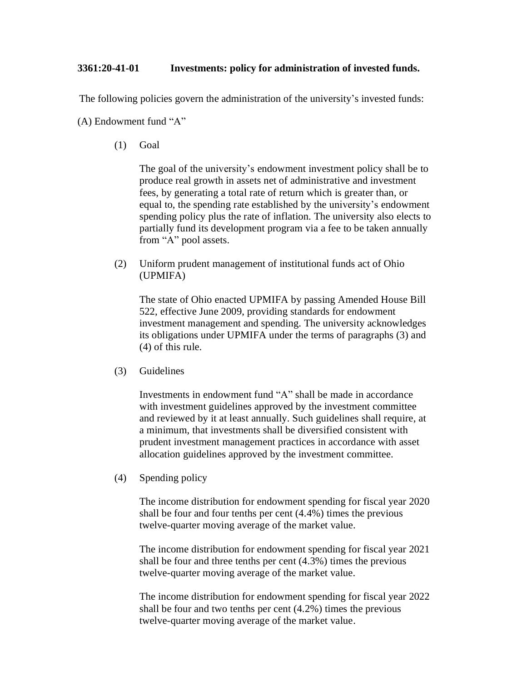## **3361:20-41-01 Investments: policy for administration of invested funds.**

The following policies govern the administration of the university's invested funds:

(A) Endowment fund "A"

(1) Goal

The goal of the university's endowment investment policy shall be to produce real growth in assets net of administrative and investment fees, by generating a total rate of return which is greater than, or equal to, the spending rate established by the university's endowment spending policy plus the rate of inflation. The university also elects to partially fund its development program via a fee to be taken annually from "A" pool assets.

(2) Uniform prudent management of institutional funds act of Ohio (UPMIFA)

The state of Ohio enacted UPMIFA by passing Amended House Bill 522, effective June 2009, providing standards for endowment investment management and spending. The university acknowledges its obligations under UPMIFA under the terms of paragraphs (3) and (4) of this rule.

(3) Guidelines

Investments in endowment fund "A" shall be made in accordance with investment guidelines approved by the investment committee and reviewed by it at least annually. Such guidelines shall require, at a minimum, that investments shall be diversified consistent with prudent investment management practices in accordance with asset allocation guidelines approved by the investment committee.

(4) Spending policy

The income distribution for endowment spending for fiscal year 2020 shall be four and four tenths per cent (4.4%) times the previous twelve-quarter moving average of the market value.

The income distribution for endowment spending for fiscal year 2021 shall be four and three tenths per cent (4.3%) times the previous twelve-quarter moving average of the market value.

The income distribution for endowment spending for fiscal year 2022 shall be four and two tenths per cent (4.2%) times the previous twelve-quarter moving average of the market value.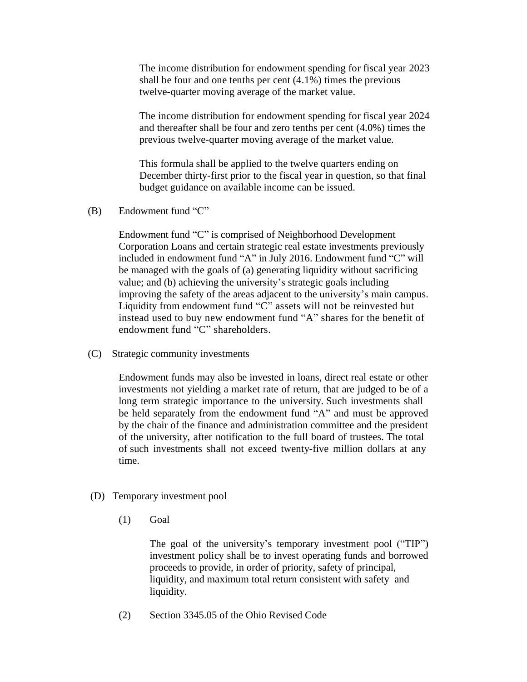The income distribution for endowment spending for fiscal year 2023 shall be four and one tenths per cent  $(4.1\%)$  times the previous twelve-quarter moving average of the market value.

The income distribution for endowment spending for fiscal year 2024 and thereafter shall be four and zero tenths per cent (4.0%) times the previous twelve-quarter moving average of the market value.

This formula shall be applied to the twelve quarters ending on December thirty-first prior to the fiscal year in question, so that final budget guidance on available income can be issued.

(B) Endowment fund "C"

Endowment fund "C" is comprised of Neighborhood Development Corporation Loans and certain strategic real estate investments previously included in endowment fund "A" in July 2016. Endowment fund "C" will be managed with the goals of (a) generating liquidity without sacrificing value; and (b) achieving the university's strategic goals including improving the safety of the areas adjacent to the university's main campus. Liquidity from endowment fund "C" assets will not be reinvested but instead used to buy new endowment fund "A" shares for the benefit of endowment fund "C" shareholders.

(C) Strategic community investments

Endowment funds may also be invested in loans, direct real estate or other investments not yielding a market rate of return, that are judged to be of a long term strategic importance to the university. Such investments shall be held separately from the endowment fund "A" and must be approved by the chair of the finance and administration committee and the president of the university, after notification to the full board of trustees. The total of such investments shall not exceed twenty-five million dollars at any time.

- (D) Temporary investment pool
	- (1) Goal

The goal of the university's temporary investment pool ("TIP") investment policy shall be to invest operating funds and borrowed proceeds to provide, in order of priority, safety of principal, liquidity, and maximum total return consistent with safety and liquidity.

(2) Section 3345.05 of the Ohio Revised Code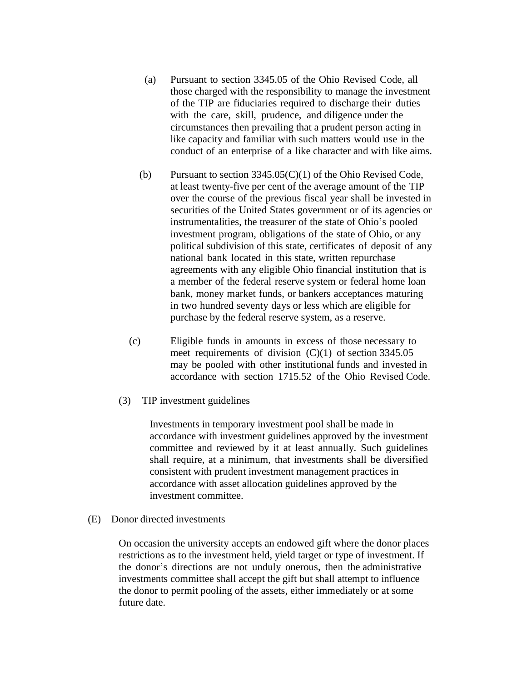- (a) Pursuant to section 3345.05 of the Ohio Revised Code, all those charged with the responsibility to manage the investment of the TIP are fiduciaries required to discharge their duties with the care, skill, prudence, and diligence under the circumstances then prevailing that a prudent person acting in like capacity and familiar with such matters would use in the conduct of an enterprise of a like character and with like aims.
- (b) Pursuant to section 3345.05(C)(1) of the Ohio Revised Code, at least twenty-five per cent of the average amount of the TIP over the course of the previous fiscal year shall be invested in securities of the United States government or of its agencies or instrumentalities, the treasurer of the state of Ohio's pooled investment program, obligations of the state of Ohio, or any political subdivision of this state, certificates of deposit of any national bank located in this state, written repurchase agreements with any eligible Ohio financial institution that is a member of the federal reserve system or federal home loan bank, money market funds, or bankers acceptances maturing in two hundred seventy days or less which are eligible for purchase by the federal reserve system, as a reserve.
- (c) Eligible funds in amounts in excess of those necessary to meet requirements of division (C)(1) of section 3345.05 may be pooled with other institutional funds and invested in accordance with section 1715.52 of the Ohio Revised Code.
- (3) TIP investment guidelines

Investments in temporary investment pool shall be made in accordance with investment guidelines approved by the investment committee and reviewed by it at least annually. Such guidelines shall require, at a minimum, that investments shall be diversified consistent with prudent investment management practices in accordance with asset allocation guidelines approved by the investment committee.

(E) Donor directed investments

On occasion the university accepts an endowed gift where the donor places restrictions as to the investment held, yield target or type of investment. If the donor's directions are not unduly onerous, then the administrative investments committee shall accept the gift but shall attempt to influence the donor to permit pooling of the assets, either immediately or at some future date.